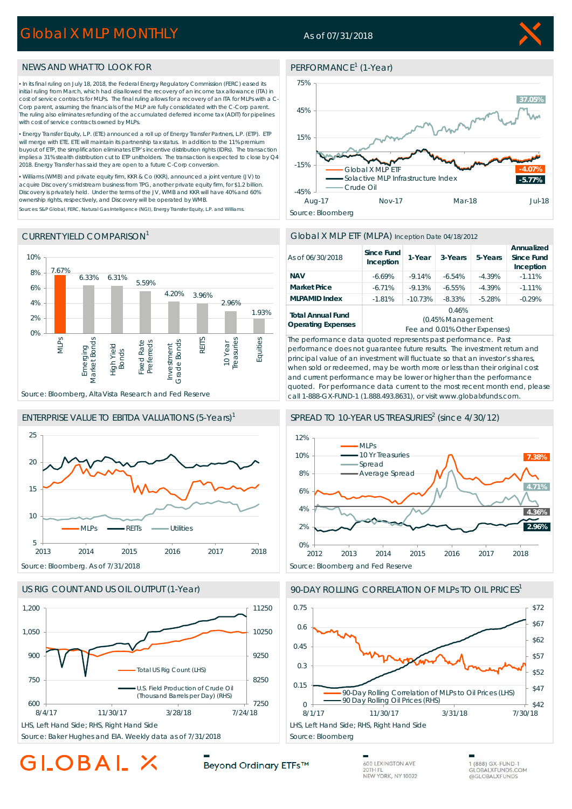## Global X MLP MONTHLY

### As of 07/31/2018



#### NEWS AND WHAT TO LOOK FOR

▪ In its final ruling on July 18, 2018, the Federal Energy Regulatory Commission (FERC) eased its initial ruling from March, which had disallowed the recovery of an income tax allowance (ITA) in cost of service contracts for MLPs. The final ruling allows for a recovery of an ITA for MLPs with a C-Corp parent, assuming the financials of the MLP are fully consolidated with the C-Corp parent. The ruling also eliminates refunding of the accumulated deferred income tax (ADIT) for pipelines with cost of service contracts owned by MLPs.

▪ Energy Transfer Equity, L.P. (ETE) announced a roll up of Energy Transfer Partners, L.P. (ETP). ETP will merge with ETE. ETE will maintain its partnership tax status. In addition to the 11% premium buyout of ETP, the simplification eliminates ETP's incentive distribution rights (IDRs). The transaction implies a 31% stealth distribution cut to ETP unitholders. The transaction is expected to close by Q4 2018. Energy Transfer has said they are open to a future C-Corp conversion.

▪ Williams (WMB) and private equity firm, KKR & Co (KKR), announced a joint venture (JV) to acquire Discovery's midstream business from TPG, another private equity firm, for \$1.2 billion. Discovery is privately held. Under the terms of the JV, WMB and KKR will have 40% and 60% ownership rights, respectively, and Discovery will be operated by WMB.

Sources: S&P Global, FERC, Natural Gas Intelligence (NGI), Energy Transfer Equity, L.P. and Williams.

#### CURRENT YIELD COMPARISON1



#### ENTERPRISE VALUE TO EBITDA VALUATIONS (5-Years)1





Source: Baker Hughes and EIA. Weekly data as of 7/31/2018 Source: Bloomberg

# GLOBAL

### PERFORMANCE<sup>1</sup> (1-Year)



#### Global X MLP ETF (MLPA) Inception Date 04/18/2012

| As of 06/30/2018                                      | Since Fund<br>Inception       | 1-Year    | 3-Years  | 5-Years  | Annualized<br>Since Fund<br>Inception |
|-------------------------------------------------------|-------------------------------|-----------|----------|----------|---------------------------------------|
| <b>NAV</b>                                            | $-6.69%$                      | $-9.14%$  | $-6.54%$ | $-4.39%$ | $-1.11%$                              |
| <b>Market Price</b>                                   | $-6.71%$                      | $-9.13%$  | $-6.55%$ | $-4.39%$ | $-1.11%$                              |
| <b>MLPAMID Index</b>                                  | $-1.81%$                      | $-10.73%$ | $-8.33%$ | $-5.28%$ | $-0.29%$                              |
| <b>Total Annual Fund</b><br><b>Operating Expenses</b> | 0.46%                         |           |          |          |                                       |
|                                                       | (0.45% Management             |           |          |          |                                       |
|                                                       | Fee and 0.01% Other Expenses) |           |          |          |                                       |

*The performance data quoted represents past performance. Past performance does not guarantee future results. The investment return and principal value of an investment will fluctuate so that an investor's shares, when sold or redeemed, may be worth more or less than their original cost and current performance may be lower or higher than the performance quoted. For performance data current to the most recent month end, please call 1-888-GX-FUND-1 (1.888.493.8631), or visit www.globalxfunds.com.*

#### SPREAD TO 10-YEAR US TREASURIES<sup>2</sup> (since 4/30/12)



#### 90-DAY ROLLING CORRELATION OF MLPs TO OIL PRICES<sup>1</sup>



Beyond Ordinary ETFs™

600 LEXINGTON AVE 20TH FL NEW YORK, NY 10022 1 (888) GX-FUND-1 **GLOBALXFUNDS.COM** @GLOBALXFUNDS